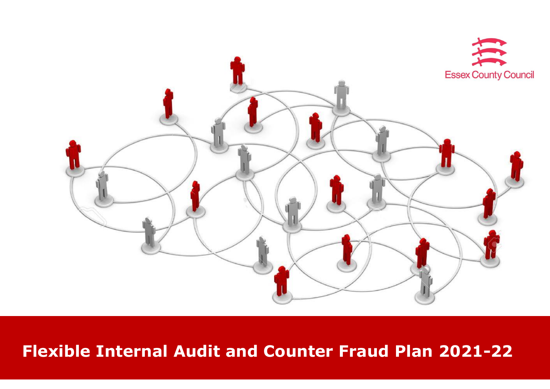

# **Flexible Internal Audit and Counter Fraud Plan 2021-22**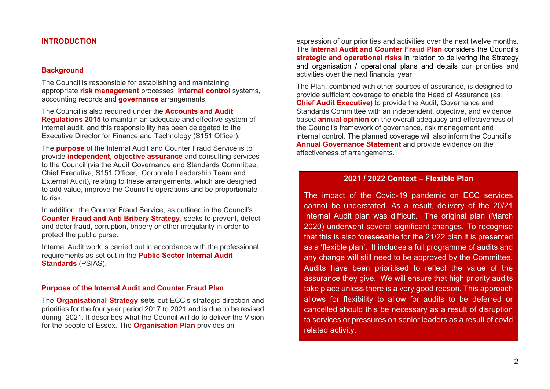#### **INTRODUCTION**

#### **Background**

The Council is responsible for establishing and maintaining appropriate **risk management** processes, **internal control** systems, accounting records and **governance** arrangements.

The Council is also required under the **Accounts and Audit Regulations 2015** to maintain an adequate and effective system of internal audit, and this responsibility has been delegated to the Executive Director for Finance and Technology (S151 Officer).

The **purpose** of the Internal Audit and Counter Fraud Service is to provide **independent, objective assurance** and consulting services to the Council (via the Audit Governance and Standards Committee, Chief Executive, S151 Officer, Corporate Leadership Team and External Audit), relating to these arrangements, which are designed to add value, improve the Council's operations and be proportionate to risk.

In addition, the Counter Fraud Service, as outlined in the Council's **Counter Fraud and Anti Bribery Strategy**, seeks to prevent, detect and deter fraud, corruption, bribery or other irregularity in order to protect the public purse.

Internal Audit work is carried out in accordance with the professional requirements as set out in the **Public Sector Internal Audit Standards** (PSIAS).

#### **Purpose of the Internal Audit and Counter Fraud Plan**

The **Organisational Strategy** sets out ECC's strategic direction and priorities for the four year period 2017 to 2021 and is due to be revised during 2021. It describes what the Council will do to deliver the Vision for the people of Essex. The **Organisation Plan** provides an

expression of our priorities and activities over the next twelve months. The **Internal Audit and Counter Fraud Plan** considers the Council's **strategic and operational risks** in relation to delivering the Strategy and organisation / operational plans and details our priorities and activities over the next financial year.

The Plan, combined with other sources of assurance, is designed to provide sufficient coverage to enable the Head of Assurance (as **Chief Audit Executive)** to provide the Audit, Governance and Standards Committee with an independent, objective, and evidence based **annual opinion** on the overall adequacy and effectiveness of the Council's framework of governance, risk management and internal control. The planned coverage will also inform the Council's **Annual Governance Statement** and provide evidence on the effectiveness of arrangements.

#### **2021 / 2022 Context – Flexible Plan**

The impact of the Covid-19 pandemic on ECC services cannot be understated. As a result, delivery of the 20/21 Internal Audit plan was difficult. The original plan (March 2020) underwent several significant changes. To recognise that this is also foreseeable for the 21/22 plan it is presented as a 'flexible plan'. It includes a full programme of audits and any change will still need to be approved by the Committee. Audits have been prioritised to reflect the value of the assurance they give. We will ensure that high priority audits take place unless there is a very good reason. This approach allows for flexibility to allow for audits to be deferred or cancelled should this be necessary as a result of disruption to services or pressures on senior leaders as a result of covid related activity.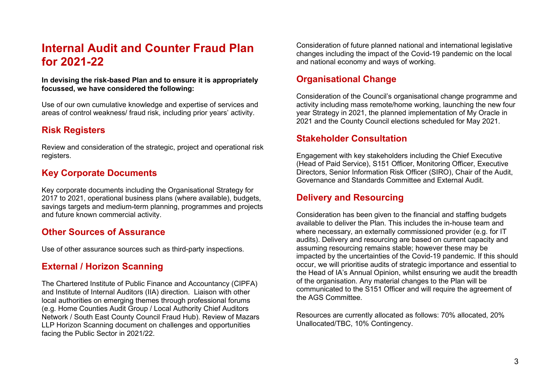## **Internal Audit and Counter Fraud Plan for 2021-22**

**In devising the risk-based Plan and to ensure it is appropriately focussed, we have considered the following:** 

Use of our own cumulative knowledge and expertise of services and areas of control weakness/ fraud risk, including prior years' activity.

### **Risk Registers**

Review and consideration of the strategic, project and operational risk registers.

### **Key Corporate Documents**

Key corporate documents including the Organisational Strategy for 2017 to 2021, operational business plans (where available), budgets, savings targets and medium-term planning, programmes and projects and future known commercial activity.

#### **Other Sources of Assurance**

Use of other assurance sources such as third-party inspections.

### **External / Horizon Scanning**

The Chartered Institute of Public Finance and Accountancy (CIPFA) and Institute of Internal Auditors (IIA) direction. Liaison with other local authorities on emerging themes through professional forums (e.g. Home Counties Audit Group / Local Authority Chief Auditors Network / South East County Council Fraud Hub). Review of Mazars LLP Horizon Scanning document on challenges and opportunities facing the Public Sector in 2021/22.

Consideration of future planned national and international legislative changes including the impact of the Covid-19 pandemic on the local and national economy and ways of working.

### **Organisational Change**

Consideration of the Council's organisational change programme and activity including mass remote/home working, launching the new four year Strategy in 2021, the planned implementation of My Oracle in 2021 and the County Council elections scheduled for May 2021.

#### **Stakeholder Consultation**

Engagement with key stakeholders including the Chief Executive (Head of Paid Service), S151 Officer, Monitoring Officer, Executive Directors, Senior Information Risk Officer (SIRO), Chair of the Audit, Governance and Standards Committee and External Audit.

#### **Delivery and Resourcing**

Consideration has been given to the financial and staffing budgets available to deliver the Plan. This includes the in-house team and where necessary, an externally commissioned provider (e.g. for IT audits). Delivery and resourcing are based on current capacity and assuming resourcing remains stable; however these may be impacted by the uncertainties of the Covid-19 pandemic. If this should occur, we will prioritise audits of strategic importance and essential to the Head of IA's Annual Opinion, whilst ensuring we audit the breadth of the organisation. Any material changes to the Plan will be communicated to the S151 Officer and will require the agreement of the AGS Committee.

Resources are currently allocated as follows: 70% allocated, 20% Unallocated/TBC, 10% Contingency.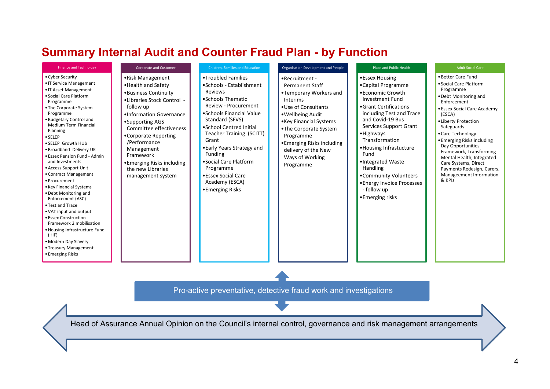## **Summary Internal Audit and Counter Fraud Plan - by Function**

| <b>Finance and Technology</b>                                                                                                                                                                                                                                                                                                                                                                                                                                                                                                                                                                                                                                                                         | <b>Corporate and Customer</b>                                                                                                                                                                                                                                                                                                   | <b>Children, Families and Education</b>                                                                                                                                                                                                                                                                                                                                | Organisation Development and People                                                                                                                                                                                                                                                | Place and Public Health                                                                                                                                                                                                                                                                                                                                                       | <b>Adult Social Care</b>                                                                                                                                                                                                                                                                                                                                                                                    |
|-------------------------------------------------------------------------------------------------------------------------------------------------------------------------------------------------------------------------------------------------------------------------------------------------------------------------------------------------------------------------------------------------------------------------------------------------------------------------------------------------------------------------------------------------------------------------------------------------------------------------------------------------------------------------------------------------------|---------------------------------------------------------------------------------------------------------------------------------------------------------------------------------------------------------------------------------------------------------------------------------------------------------------------------------|------------------------------------------------------------------------------------------------------------------------------------------------------------------------------------------------------------------------------------------------------------------------------------------------------------------------------------------------------------------------|------------------------------------------------------------------------------------------------------------------------------------------------------------------------------------------------------------------------------------------------------------------------------------|-------------------------------------------------------------------------------------------------------------------------------------------------------------------------------------------------------------------------------------------------------------------------------------------------------------------------------------------------------------------------------|-------------------------------------------------------------------------------------------------------------------------------------------------------------------------------------------------------------------------------------------------------------------------------------------------------------------------------------------------------------------------------------------------------------|
| • Cyber Security<br>• IT Service Management<br>• IT Asset Management<br>• Social Care Platform<br>Programme<br>• The Corporate System<br>Programme<br>· Budgetary Control and<br><b>Medium Term Financial</b><br>Planning<br>· SELEP<br>• SELEP Growth HUb<br>. Broadband Delivery UK<br>• Essex Pension Fund - Admin<br>and Investments<br>• Access Support Unit<br>• Contract Management<br>• Procurement<br>• Key Financial Systems<br>. Debt Monitoring and<br>Enforcement (ASC)<br>• Test and Trace<br>. VAT input and output<br>• Essex Construction<br>Framework 2 mobilisation<br>. Housing Infrastructure Fund<br>(HIF)<br>• Modern Day Slavery<br>• Treasury Management<br>• Emerging Risks | •Risk Management<br>• Health and Safety<br>•Business Continuity<br>• Libraries Stock Control -<br>follow up<br>•Information Governance<br>•Supporting AGS<br>Committee effectiveness<br>•Corporate Reporting<br>/Performance<br>Management<br>Framework<br>• Emerging Risks including<br>the new Libraries<br>management system | •Troubled Families<br>• Schools - Establishment<br>Reviews<br>• Schools Thematic<br>Review - Procurement<br>• Schools Financial Value<br>Standard (SFVS)<br>• School Centred Initial<br>Teacher Training (SCITT)<br>Grant<br>• Early Years Strategy and<br>Funding<br>• Social Care Platform<br>Programme<br>• Essex Social Care<br>Academy (ESCA)<br>• Emerging Risks | • Recruitment -<br><b>Permanent Staff</b><br>•Temporary Workers and<br>Interims<br>• Use of Consultants<br>• Wellbeing Audit<br>• Key Financial Systems<br>•The Corporate System<br>Programme<br>• Emerging Risks including<br>delivery of the New<br>Ways of Working<br>Programme | •Essex Housing<br>•Capital Programme<br>• Economic Growth<br>Investment Fund<br>• Grant Certifications<br>including Test and Trace<br>and Covid-19 Bus<br>Services Support Grant<br>• Highways<br>Transformation<br>• Housing Infrastucture<br>Fund<br>•Integrated Waste<br>Handling<br>•Community Volunteers<br>• Energy Invoice Processes<br>- follow up<br>•Emerging risks | • Better Care Fund<br>• Social Care Platform<br>Programme<br>• Debt Monitoring and<br>Enforcement<br>• Essex Social Care Academy<br>(ESCA)<br>• Liberty Protection<br>Safeguards<br>• Care Technology<br>• Emerging Risks including<br>Day Opportunities<br>Framework, Transforming<br>Mental Health, Integrated<br>Care Systems, Direct<br>Payments Redesign, Carers,<br>Manageement Information<br>& KPIs |

Pro-active preventative, detective fraud work and investigations

Head of Assurance Annual Opinion on the Council's internal control, governance and risk management arrangements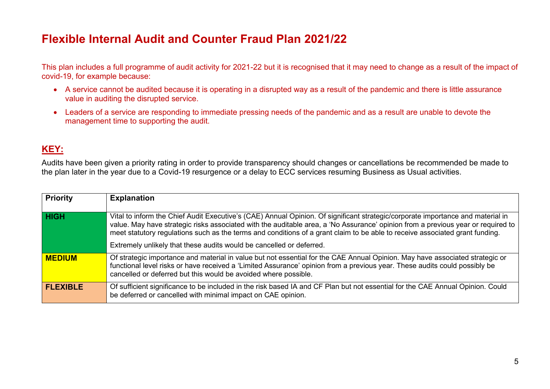## **Flexible Internal Audit and Counter Fraud Plan 2021/22**

This plan includes a full programme of audit activity for 2021-22 but it is recognised that it may need to change as a result of the impact of covid-19, for example because:

- A service cannot be audited because it is operating in a disrupted way as a result of the pandemic and there is little assurance value in auditing the disrupted service.
- Leaders of a service are responding to immediate pressing needs of the pandemic and as a result are unable to devote the management time to supporting the audit.

### **KEY:**

Audits have been given a priority rating in order to provide transparency should changes or cancellations be recommended be made to the plan later in the year due to a Covid-19 resurgence or a delay to ECC services resuming Business as Usual activities.

| <b>Priority</b> | <b>Explanation</b>                                                                                                                                                                                                                                                                                                                                                                                                                                                          |
|-----------------|-----------------------------------------------------------------------------------------------------------------------------------------------------------------------------------------------------------------------------------------------------------------------------------------------------------------------------------------------------------------------------------------------------------------------------------------------------------------------------|
| <b>HIGH</b>     | Vital to inform the Chief Audit Executive's (CAE) Annual Opinion. Of significant strategic/corporate importance and material in<br>value. May have strategic risks associated with the auditable area, a 'No Assurance' opinion from a previous year or required to<br>meet statutory regulations such as the terms and conditions of a grant claim to be able to receive associated grant funding.<br>Extremely unlikely that these audits would be cancelled or deferred. |
| <b>MEDIUM</b>   | Of strategic importance and material in value but not essential for the CAE Annual Opinion. May have associated strategic or<br>functional level risks or have received a 'Limited Assurance' opinion from a previous year. These audits could possibly be<br>cancelled or deferred but this would be avoided where possible.                                                                                                                                               |
| <b>FLEXIBLE</b> | Of sufficient significance to be included in the risk based IA and CF Plan but not essential for the CAE Annual Opinion. Could<br>be deferred or cancelled with minimal impact on CAE opinion.                                                                                                                                                                                                                                                                              |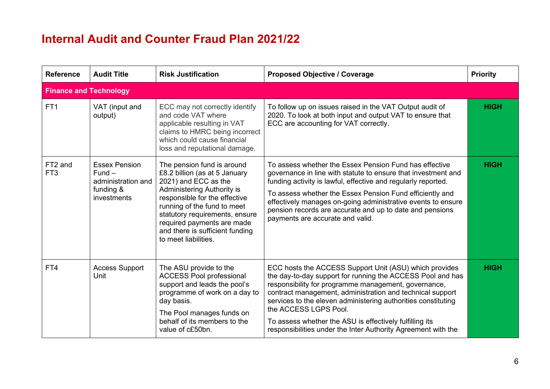## **Internal Audit and Counter Fraud Plan 2021/22**

| <b>Reference</b>              | <b>Audit Title</b>                                                                 | <b>Risk Justification</b>                                                                                                                                                                                                                                                                                           | <b>Proposed Objective / Coverage</b>                                                                                                                                                                                                                                                                                                                                                                                                                            | <b>Priority</b> |
|-------------------------------|------------------------------------------------------------------------------------|---------------------------------------------------------------------------------------------------------------------------------------------------------------------------------------------------------------------------------------------------------------------------------------------------------------------|-----------------------------------------------------------------------------------------------------------------------------------------------------------------------------------------------------------------------------------------------------------------------------------------------------------------------------------------------------------------------------------------------------------------------------------------------------------------|-----------------|
| <b>Finance and Technology</b> |                                                                                    |                                                                                                                                                                                                                                                                                                                     |                                                                                                                                                                                                                                                                                                                                                                                                                                                                 |                 |
| FT <sub>1</sub>               | VAT (input and<br>output)                                                          | ECC may not correctly identify<br>and code VAT where<br>applicable resulting in VAT<br>claims to HMRC being incorrect<br>which could cause financial<br>loss and reputational damage.                                                                                                                               | To follow up on issues raised in the VAT Output audit of<br>2020. To look at both input and output VAT to ensure that<br>ECC are accounting for VAT correctly.                                                                                                                                                                                                                                                                                                  | <b>HIGH</b>     |
| FT2 and<br>FT <sub>3</sub>    | <b>Essex Pension</b><br>$Fund -$<br>administration and<br>funding &<br>investments | The pension fund is around<br>£8.2 billion (as at 5 January<br>2021) and ECC as the<br><b>Administering Authority is</b><br>responsible for the effective<br>running of the fund to meet<br>statutory requirements, ensure<br>required payments are made<br>and there is sufficient funding<br>to meet liabilities. | To assess whether the Essex Pension Fund has effective<br>governance in line with statute to ensure that investment and<br>funding activity is lawful, effective and regularly reported.<br>To assess whether the Essex Pension Fund efficiently and<br>effectively manages on-going administrative events to ensure<br>pension records are accurate and up to date and pensions<br>payments are accurate and valid.                                            | <b>HIGH</b>     |
| FT4                           | <b>Access Support</b><br>Unit                                                      | The ASU provide to the<br><b>ACCESS Pool professional</b><br>support and leads the pool's<br>programme of work on a day to<br>day basis.<br>The Pool manages funds on<br>behalf of its members to the<br>value of c£50bn.                                                                                           | ECC hosts the ACCESS Support Unit (ASU) which provides<br>the day-to-day support for running the ACCESS Pool and has<br>responsibility for programme management, governance,<br>contract management, administration and technical support<br>services to the eleven administering authorities constituting<br>the ACCESS LGPS Pool.<br>To assess whether the ASU is effectively fulfilling its<br>responsibilities under the Inter Authority Agreement with the | <b>HIGH</b>     |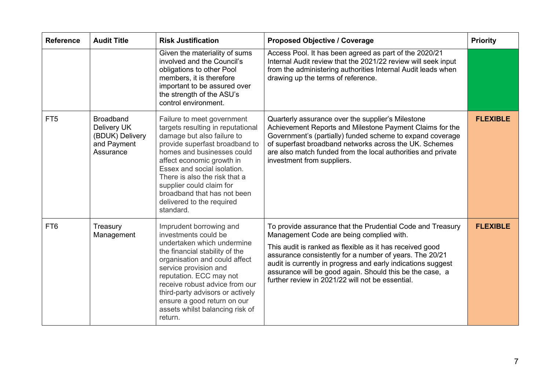| <b>Reference</b> | <b>Audit Title</b>                                                             | <b>Risk Justification</b>                                                                                                                                                                                                                                                                                                                                       | <b>Proposed Objective / Coverage</b>                                                                                                                                                                                                                                                                                                                                                                          | <b>Priority</b> |
|------------------|--------------------------------------------------------------------------------|-----------------------------------------------------------------------------------------------------------------------------------------------------------------------------------------------------------------------------------------------------------------------------------------------------------------------------------------------------------------|---------------------------------------------------------------------------------------------------------------------------------------------------------------------------------------------------------------------------------------------------------------------------------------------------------------------------------------------------------------------------------------------------------------|-----------------|
|                  |                                                                                | Given the materiality of sums<br>involved and the Council's<br>obligations to other Pool<br>members, it is therefore<br>important to be assured over<br>the strength of the ASU's<br>control environment.                                                                                                                                                       | Access Pool. It has been agreed as part of the 2020/21<br>Internal Audit review that the 2021/22 review will seek input<br>from the administering authorities Internal Audit leads when<br>drawing up the terms of reference.                                                                                                                                                                                 |                 |
| FT <sub>5</sub>  | <b>Broadband</b><br>Delivery UK<br>(BDUK) Delivery<br>and Payment<br>Assurance | Failure to meet government<br>targets resulting in reputational<br>damage but also failure to<br>provide superfast broadband to<br>homes and businesses could<br>affect economic growth in<br>Essex and social isolation.<br>There is also the risk that a<br>supplier could claim for<br>broadband that has not been<br>delivered to the required<br>standard. | Quarterly assurance over the supplier's Milestone<br>Achievement Reports and Milestone Payment Claims for the<br>Government's (partially) funded scheme to expand coverage<br>of superfast broadband networks across the UK. Schemes<br>are also match funded from the local authorities and private<br>investment from suppliers.                                                                            | <b>FLEXIBLE</b> |
| FT <sub>6</sub>  | Treasury<br>Management                                                         | Imprudent borrowing and<br>investments could be<br>undertaken which undermine<br>the financial stability of the<br>organisation and could affect<br>service provision and<br>reputation. ECC may not<br>receive robust advice from our<br>third-party advisors or actively<br>ensure a good return on our<br>assets whilst balancing risk of<br>return.         | To provide assurance that the Prudential Code and Treasury<br>Management Code are being complied with.<br>This audit is ranked as flexible as it has received good<br>assurance consistently for a number of years. The 20/21<br>audit is currently in progress and early indications suggest<br>assurance will be good again. Should this be the case, a<br>further review in 2021/22 will not be essential. | <b>FLEXIBLE</b> |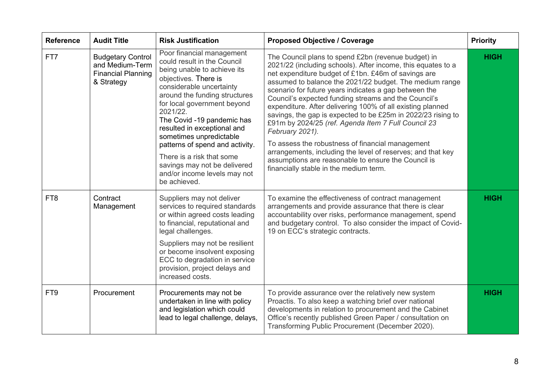| <b>Reference</b> | <b>Audit Title</b>                                                                     | <b>Risk Justification</b>                                                                                                                                                                                                                                                                                                                                                                                                                                       | <b>Proposed Objective / Coverage</b>                                                                                                                                                                                                                                                                                                                                                                                                                                                                                                                                                                                                                                                                                                                                               | <b>Priority</b> |
|------------------|----------------------------------------------------------------------------------------|-----------------------------------------------------------------------------------------------------------------------------------------------------------------------------------------------------------------------------------------------------------------------------------------------------------------------------------------------------------------------------------------------------------------------------------------------------------------|------------------------------------------------------------------------------------------------------------------------------------------------------------------------------------------------------------------------------------------------------------------------------------------------------------------------------------------------------------------------------------------------------------------------------------------------------------------------------------------------------------------------------------------------------------------------------------------------------------------------------------------------------------------------------------------------------------------------------------------------------------------------------------|-----------------|
| FT7              | <b>Budgetary Control</b><br>and Medium-Term<br><b>Financial Planning</b><br>& Strategy | Poor financial management<br>could result in the Council<br>being unable to achieve its<br>objectives. There is<br>considerable uncertainty<br>around the funding structures<br>for local government beyond<br>2021/22.<br>The Covid -19 pandemic has<br>resulted in exceptional and<br>sometimes unpredictable<br>patterns of spend and activity.<br>There is a risk that some<br>savings may not be delivered<br>and/or income levels may not<br>be achieved. | The Council plans to spend £2bn (revenue budget) in<br>2021/22 (including schools). After income, this equates to a<br>net expenditure budget of £1bn. £46m of savings are<br>assumed to balance the 2021/22 budget. The medium range<br>scenario for future years indicates a gap between the<br>Council's expected funding streams and the Council's<br>expenditure. After delivering 100% of all existing planned<br>savings, the gap is expected to be £25m in 2022/23 rising to<br>£91m by 2024/25 (ref. Agenda Item 7 Full Council 23<br>February 2021).<br>To assess the robustness of financial management<br>arrangements, including the level of reserves; and that key<br>assumptions are reasonable to ensure the Council is<br>financially stable in the medium term. | <b>HIGH</b>     |
| FT <sub>8</sub>  | Contract<br>Management                                                                 | Suppliers may not deliver<br>services to required standards<br>or within agreed costs leading<br>to financial, reputational and<br>legal challenges.<br>Suppliers may not be resilient<br>or become insolvent exposing<br>ECC to degradation in service<br>provision, project delays and<br>increased costs.                                                                                                                                                    | To examine the effectiveness of contract management<br>arrangements and provide assurance that there is clear<br>accountability over risks, performance management, spend<br>and budgetary control. To also consider the impact of Covid-<br>19 on ECC's strategic contracts.                                                                                                                                                                                                                                                                                                                                                                                                                                                                                                      | <b>HIGH</b>     |
| FT <sub>9</sub>  | Procurement                                                                            | Procurements may not be<br>undertaken in line with policy<br>and legislation which could<br>lead to legal challenge, delays,                                                                                                                                                                                                                                                                                                                                    | To provide assurance over the relatively new system<br>Proactis. To also keep a watching brief over national<br>developments in relation to procurement and the Cabinet<br>Office's recently published Green Paper / consultation on<br>Transforming Public Procurement (December 2020).                                                                                                                                                                                                                                                                                                                                                                                                                                                                                           | <b>HIGH</b>     |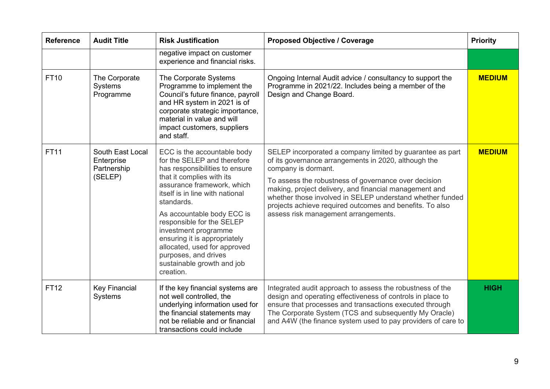| <b>Reference</b> | <b>Audit Title</b>                                       | <b>Risk Justification</b>                                                                                                                                                                                                                                                                                                                                                                                                      | <b>Proposed Objective / Coverage</b>                                                                                                                                                                                                                                                                                                                                                                                        | <b>Priority</b> |
|------------------|----------------------------------------------------------|--------------------------------------------------------------------------------------------------------------------------------------------------------------------------------------------------------------------------------------------------------------------------------------------------------------------------------------------------------------------------------------------------------------------------------|-----------------------------------------------------------------------------------------------------------------------------------------------------------------------------------------------------------------------------------------------------------------------------------------------------------------------------------------------------------------------------------------------------------------------------|-----------------|
|                  |                                                          | negative impact on customer<br>experience and financial risks.                                                                                                                                                                                                                                                                                                                                                                 |                                                                                                                                                                                                                                                                                                                                                                                                                             |                 |
| <b>FT10</b>      | The Corporate<br>Systems<br>Programme                    | The Corporate Systems<br>Programme to implement the<br>Council's future finance, payroll<br>and HR system in 2021 is of<br>corporate strategic importance,<br>material in value and will<br>impact customers, suppliers<br>and staff.                                                                                                                                                                                          | Ongoing Internal Audit advice / consultancy to support the<br>Programme in 2021/22. Includes being a member of the<br>Design and Change Board.                                                                                                                                                                                                                                                                              | <b>MEDIUM</b>   |
| <b>FT11</b>      | South East Local<br>Enterprise<br>Partnership<br>(SELEP) | ECC is the accountable body<br>for the SELEP and therefore<br>has responsibilities to ensure<br>that it complies with its<br>assurance framework, which<br>itself is in line with national<br>standards.<br>As accountable body ECC is<br>responsible for the SELEP<br>investment programme<br>ensuring it is appropriately<br>allocated, used for approved<br>purposes, and drives<br>sustainable growth and job<br>creation. | SELEP incorporated a company limited by guarantee as part<br>of its governance arrangements in 2020, although the<br>company is dormant.<br>To assess the robustness of governance over decision<br>making, project delivery, and financial management and<br>whether those involved in SELEP understand whether funded<br>projects achieve required outcomes and benefits. To also<br>assess risk management arrangements. | <b>MEDIUM</b>   |
| <b>FT12</b>      | <b>Key Financial</b><br>Systems                          | If the key financial systems are<br>not well controlled, the<br>underlying information used for<br>the financial statements may<br>not be reliable and or financial<br>transactions could include                                                                                                                                                                                                                              | Integrated audit approach to assess the robustness of the<br>design and operating effectiveness of controls in place to<br>ensure that processes and transactions executed through<br>The Corporate System (TCS and subsequently My Oracle)<br>and A4W (the finance system used to pay providers of care to                                                                                                                 | <b>HIGH</b>     |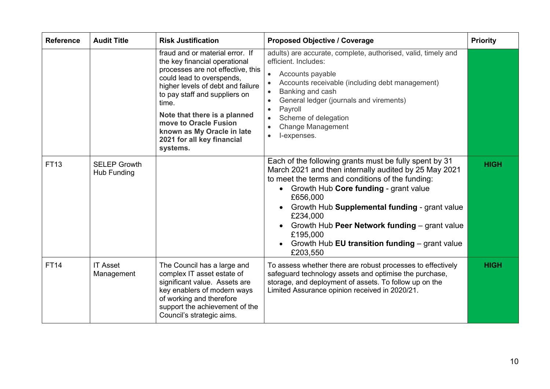| <b>Reference</b> | <b>Audit Title</b>                 | <b>Risk Justification</b>                                                                                                                                                                                                                                                                                                                          | <b>Proposed Objective / Coverage</b>                                                                                                                                                                                                                                                                                                                                                                                                       | <b>Priority</b> |
|------------------|------------------------------------|----------------------------------------------------------------------------------------------------------------------------------------------------------------------------------------------------------------------------------------------------------------------------------------------------------------------------------------------------|--------------------------------------------------------------------------------------------------------------------------------------------------------------------------------------------------------------------------------------------------------------------------------------------------------------------------------------------------------------------------------------------------------------------------------------------|-----------------|
|                  |                                    | fraud and or material error. If<br>the key financial operational<br>processes are not effective, this<br>could lead to overspends,<br>higher levels of debt and failure<br>to pay staff and suppliers on<br>time.<br>Note that there is a planned<br>move to Oracle Fusion<br>known as My Oracle in late<br>2021 for all key financial<br>systems. | adults) are accurate, complete, authorised, valid, timely and<br>efficient. Includes:<br>Accounts payable<br>$\bullet$<br>Accounts receivable (including debt management)<br>Banking and cash<br>$\bullet$<br>General ledger (journals and virements)<br>$\bullet$<br>Payroll<br>$\bullet$<br>Scheme of delegation<br>$\bullet$<br><b>Change Management</b><br>$\bullet$<br>l-expenses.<br>$\bullet$                                       |                 |
| <b>FT13</b>      | <b>SELEP Growth</b><br>Hub Funding |                                                                                                                                                                                                                                                                                                                                                    | Each of the following grants must be fully spent by 31<br>March 2021 and then internally audited by 25 May 2021<br>to meet the terms and conditions of the funding:<br>Growth Hub Core funding - grant value<br>$\bullet$<br>£656,000<br>Growth Hub Supplemental funding - grant value<br>£234,000<br>Growth Hub Peer Network funding – grant value<br>£195,000<br>Growth Hub EU transition funding - grant value<br>$\bullet$<br>£203,550 | <b>HIGH</b>     |
| <b>FT14</b>      | <b>IT Asset</b><br>Management      | The Council has a large and<br>complex IT asset estate of<br>significant value. Assets are<br>key enablers of modern ways<br>of working and therefore<br>support the achievement of the<br>Council's strategic aims.                                                                                                                               | To assess whether there are robust processes to effectively<br>safeguard technology assets and optimise the purchase,<br>storage, and deployment of assets. To follow up on the<br>Limited Assurance opinion received in 2020/21.                                                                                                                                                                                                          | <b>HIGH</b>     |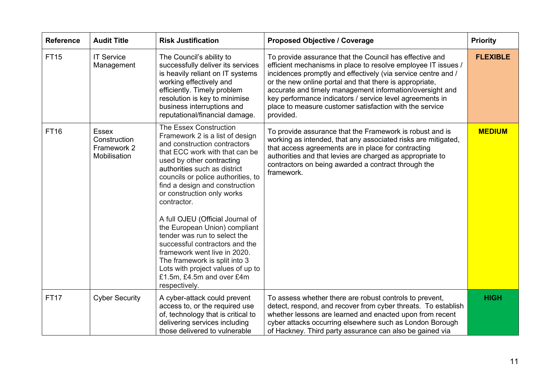| <b>Reference</b> | <b>Audit Title</b>                                          | <b>Risk Justification</b>                                                                                                                                                                                                                                                                                                                                                                                                                                                                                                                                                                                | <b>Proposed Objective / Coverage</b>                                                                                                                                                                                                                                                                                                                                                                                                                 | <b>Priority</b> |
|------------------|-------------------------------------------------------------|----------------------------------------------------------------------------------------------------------------------------------------------------------------------------------------------------------------------------------------------------------------------------------------------------------------------------------------------------------------------------------------------------------------------------------------------------------------------------------------------------------------------------------------------------------------------------------------------------------|------------------------------------------------------------------------------------------------------------------------------------------------------------------------------------------------------------------------------------------------------------------------------------------------------------------------------------------------------------------------------------------------------------------------------------------------------|-----------------|
| <b>FT15</b>      | <b>IT Service</b><br>Management                             | The Council's ability to<br>successfully deliver its services<br>is heavily reliant on IT systems<br>working effectively and<br>efficiently. Timely problem<br>resolution is key to minimise<br>business interruptions and<br>reputational/financial damage.                                                                                                                                                                                                                                                                                                                                             | To provide assurance that the Council has effective and<br>efficient mechanisms in place to resolve employee IT issues /<br>incidences promptly and effectively (via service centre and /<br>or the new online portal and that there is appropriate,<br>accurate and timely management information/oversight and<br>key performance indicators / service level agreements in<br>place to measure customer satisfaction with the service<br>provided. | <b>FLEXIBLE</b> |
| <b>FT16</b>      | <b>Essex</b><br>Construction<br>Framework 2<br>Mobilisation | The Essex Construction<br>Framework 2 is a list of design<br>and construction contractors<br>that ECC work with that can be<br>used by other contracting<br>authorities such as district<br>councils or police authorities, to<br>find a design and construction<br>or construction only works<br>contractor.<br>A full OJEU (Official Journal of<br>the European Union) compliant<br>tender was run to select the<br>successful contractors and the<br>framework went live in 2020.<br>The framework is split into 3<br>Lots with project values of up to<br>£1.5m, £4.5m and over £4m<br>respectively. | To provide assurance that the Framework is robust and is<br>working as intended, that any associated risks are mitigated,<br>that access agreements are in place for contracting<br>authorities and that levies are charged as appropriate to<br>contractors on being awarded a contract through the<br>framework.                                                                                                                                   | <b>MEDIUM</b>   |
| <b>FT17</b>      | <b>Cyber Security</b>                                       | A cyber-attack could prevent<br>access to, or the required use<br>of, technology that is critical to<br>delivering services including<br>those delivered to vulnerable                                                                                                                                                                                                                                                                                                                                                                                                                                   | To assess whether there are robust controls to prevent,<br>detect, respond, and recover from cyber threats. To establish<br>whether lessons are learned and enacted upon from recent<br>cyber attacks occurring elsewhere such as London Borough<br>of Hackney. Third party assurance can also be gained via                                                                                                                                         | <b>HIGH</b>     |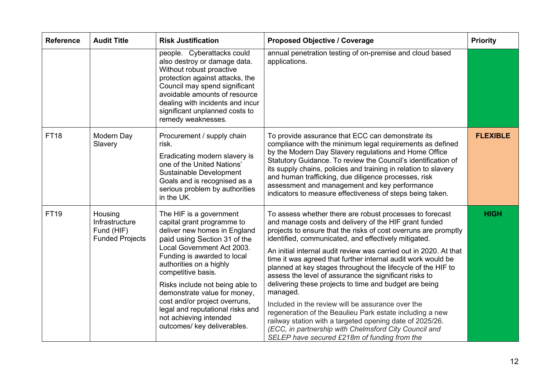| <b>Reference</b> | <b>Audit Title</b>                                                | <b>Risk Justification</b>                                                                                                                                                                                                                                                                                                                                                                                                            | <b>Proposed Objective / Coverage</b>                                                                                                                                                                                                                                                                                                                                                                                                                                                                                                                                                                                                                                                                                                                                                                                                                                    | <b>Priority</b> |
|------------------|-------------------------------------------------------------------|--------------------------------------------------------------------------------------------------------------------------------------------------------------------------------------------------------------------------------------------------------------------------------------------------------------------------------------------------------------------------------------------------------------------------------------|-------------------------------------------------------------------------------------------------------------------------------------------------------------------------------------------------------------------------------------------------------------------------------------------------------------------------------------------------------------------------------------------------------------------------------------------------------------------------------------------------------------------------------------------------------------------------------------------------------------------------------------------------------------------------------------------------------------------------------------------------------------------------------------------------------------------------------------------------------------------------|-----------------|
|                  |                                                                   | people. Cyberattacks could<br>also destroy or damage data.<br>Without robust proactive<br>protection against attacks, the<br>Council may spend significant<br>avoidable amounts of resource<br>dealing with incidents and incur<br>significant unplanned costs to<br>remedy weaknesses.                                                                                                                                              | annual penetration testing of on-premise and cloud based<br>applications.                                                                                                                                                                                                                                                                                                                                                                                                                                                                                                                                                                                                                                                                                                                                                                                               |                 |
| <b>FT18</b>      | Modern Day<br>Slavery                                             | Procurement / supply chain<br>risk.<br>Eradicating modern slavery is<br>one of the United Nations'<br>Sustainable Development<br>Goals and is recognised as a<br>serious problem by authorities<br>in the UK.                                                                                                                                                                                                                        | To provide assurance that ECC can demonstrate its<br>compliance with the minimum legal requirements as defined<br>by the Modern Day Slavery regulations and Home Office<br>Statutory Guidance. To review the Council's identification of<br>its supply chains, policies and training in relation to slavery<br>and human trafficking, due diligence processes, risk<br>assessment and management and key performance<br>indicators to measure effectiveness of steps being taken.                                                                                                                                                                                                                                                                                                                                                                                       | <b>FLEXIBLE</b> |
| <b>FT19</b>      | Housing<br>Infrastructure<br>Fund (HIF)<br><b>Funded Projects</b> | The HIF is a government<br>capital grant programme to<br>deliver new homes in England<br>paid using Section 31 of the<br>Local Government Act 2003.<br>Funding is awarded to local<br>authorities on a highly<br>competitive basis.<br>Risks include not being able to<br>demonstrate value for money,<br>cost and/or project overruns,<br>legal and reputational risks and<br>not achieving intended<br>outcomes/ key deliverables. | To assess whether there are robust processes to forecast<br>and manage costs and delivery of the HIF grant funded<br>projects to ensure that the risks of cost overruns are promptly<br>identified, communicated, and effectively mitigated.<br>An initial internal audit review was carried out in 2020. At that<br>time it was agreed that further internal audit work would be<br>planned at key stages throughout the lifecycle of the HIF to<br>assess the level of assurance the significant risks to<br>delivering these projects to time and budget are being<br>managed.<br>Included in the review will be assurance over the<br>regeneration of the Beaulieu Park estate including a new<br>railway station with a targeted opening date of 2025/26.<br>(ECC, in partnership with Chelmsford City Council and<br>SELEP have secured £218m of funding from the | <b>HIGH</b>     |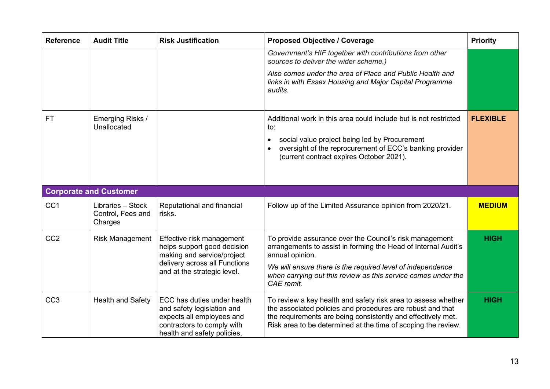| <b>Reference</b> | <b>Audit Title</b>              | <b>Risk Justification</b>                                                                                                                           | <b>Proposed Objective / Coverage</b>                                                                                                                                                                                                                         | <b>Priority</b> |
|------------------|---------------------------------|-----------------------------------------------------------------------------------------------------------------------------------------------------|--------------------------------------------------------------------------------------------------------------------------------------------------------------------------------------------------------------------------------------------------------------|-----------------|
|                  |                                 |                                                                                                                                                     | Government's HIF together with contributions from other<br>sources to deliver the wider scheme.)                                                                                                                                                             |                 |
|                  |                                 |                                                                                                                                                     | Also comes under the area of Place and Public Health and<br>links in with Essex Housing and Major Capital Programme<br>audits.                                                                                                                               |                 |
| <b>FT</b>        | Emerging Risks /<br>Unallocated |                                                                                                                                                     | Additional work in this area could include but is not restricted<br>to:<br>social value project being led by Procurement<br>$\bullet$<br>oversight of the reprocurement of ECC's banking provider<br>(current contract expires October 2021).                | <b>FLEXIBLE</b> |
|                  | <b>Corporate and Customer</b>   |                                                                                                                                                     |                                                                                                                                                                                                                                                              |                 |
| CC <sub>1</sub>  | Libraries - Stock               |                                                                                                                                                     |                                                                                                                                                                                                                                                              | <b>MEDIUM</b>   |
|                  | Control, Fees and<br>Charges    | Reputational and financial<br>risks.                                                                                                                | Follow up of the Limited Assurance opinion from 2020/21.                                                                                                                                                                                                     |                 |
| CC <sub>2</sub>  | <b>Risk Management</b>          | Effective risk management<br>helps support good decision<br>making and service/project<br>delivery across all Functions                             | To provide assurance over the Council's risk management<br>arrangements to assist in forming the Head of Internal Audit's<br>annual opinion.<br>We will ensure there is the required level of independence                                                   | <b>HIGH</b>     |
|                  |                                 | and at the strategic level.                                                                                                                         | when carrying out this review as this service comes under the<br>CAE remit.                                                                                                                                                                                  |                 |
| CC <sub>3</sub>  | <b>Health and Safety</b>        | ECC has duties under health<br>and safety legislation and<br>expects all employees and<br>contractors to comply with<br>health and safety policies, | To review a key health and safety risk area to assess whether<br>the associated policies and procedures are robust and that<br>the requirements are being consistently and effectively met.<br>Risk area to be determined at the time of scoping the review. | <b>HIGH</b>     |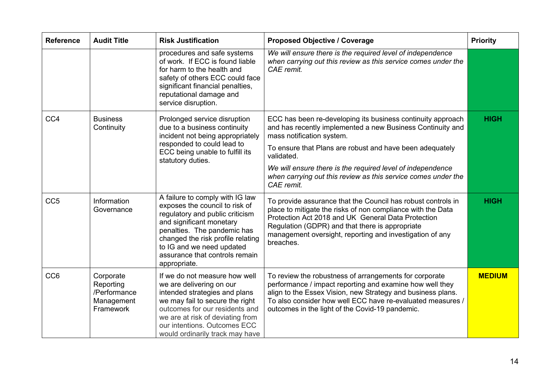| <b>Reference</b> | <b>Audit Title</b>                                                | <b>Risk Justification</b>                                                                                                                                                                                                                                                           | <b>Proposed Objective / Coverage</b>                                                                                                                                                                                                                                                                                                                            | <b>Priority</b> |
|------------------|-------------------------------------------------------------------|-------------------------------------------------------------------------------------------------------------------------------------------------------------------------------------------------------------------------------------------------------------------------------------|-----------------------------------------------------------------------------------------------------------------------------------------------------------------------------------------------------------------------------------------------------------------------------------------------------------------------------------------------------------------|-----------------|
|                  |                                                                   | procedures and safe systems<br>of work. If ECC is found liable<br>for harm to the health and<br>safety of others ECC could face<br>significant financial penalties,<br>reputational damage and<br>service disruption.                                                               | We will ensure there is the required level of independence<br>when carrying out this review as this service comes under the<br>CAE remit.                                                                                                                                                                                                                       |                 |
| CC <sub>4</sub>  | <b>Business</b><br>Continuity                                     | Prolonged service disruption<br>due to a business continuity<br>incident not being appropriately<br>responded to could lead to<br>ECC being unable to fulfill its<br>statutory duties.                                                                                              | ECC has been re-developing its business continuity approach<br>and has recently implemented a new Business Continuity and<br>mass notification system.<br>To ensure that Plans are robust and have been adequately<br>validated.<br>We will ensure there is the required level of independence<br>when carrying out this review as this service comes under the | <b>HIGH</b>     |
|                  |                                                                   |                                                                                                                                                                                                                                                                                     | CAE remit.                                                                                                                                                                                                                                                                                                                                                      |                 |
| CC <sub>5</sub>  | Information<br>Governance                                         | A failure to comply with IG law<br>exposes the council to risk of<br>regulatory and public criticism<br>and significant monetary<br>penalties. The pandemic has<br>changed the risk profile relating<br>to IG and we need updated<br>assurance that controls remain<br>appropriate. | To provide assurance that the Council has robust controls in<br>place to mitigate the risks of non compliance with the Data<br>Protection Act 2018 and UK General Data Protection<br>Regulation (GDPR) and that there is appropriate<br>management oversight, reporting and investigation of any<br>breaches.                                                   | <b>HIGH</b>     |
| CC <sub>6</sub>  | Corporate<br>Reporting<br>/Performance<br>Management<br>Framework | If we do not measure how well<br>we are delivering on our<br>intended strategies and plans<br>we may fail to secure the right<br>outcomes for our residents and<br>we are at risk of deviating from<br>our intentions. Outcomes ECC<br>would ordinarily track may have              | To review the robustness of arrangements for corporate<br>performance / impact reporting and examine how well they<br>align to the Essex Vision, new Strategy and business plans.<br>To also consider how well ECC have re-evaluated measures /<br>outcomes in the light of the Covid-19 pandemic.                                                              | <b>MEDIUM</b>   |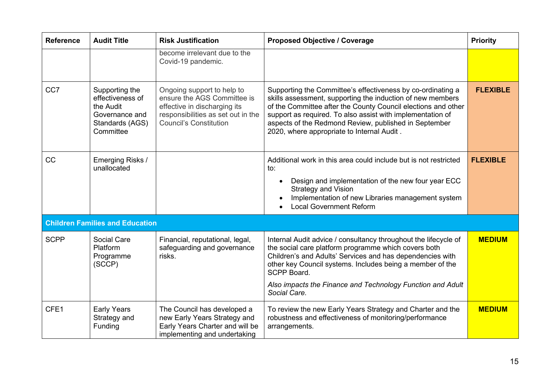| <b>Reference</b> | <b>Audit Title</b>                                                                                | <b>Risk Justification</b>                                                                                                                                        | <b>Proposed Objective / Coverage</b>                                                                                                                                                                                                                                                                                                                            | <b>Priority</b> |
|------------------|---------------------------------------------------------------------------------------------------|------------------------------------------------------------------------------------------------------------------------------------------------------------------|-----------------------------------------------------------------------------------------------------------------------------------------------------------------------------------------------------------------------------------------------------------------------------------------------------------------------------------------------------------------|-----------------|
|                  |                                                                                                   | become irrelevant due to the<br>Covid-19 pandemic.                                                                                                               |                                                                                                                                                                                                                                                                                                                                                                 |                 |
| CC7              | Supporting the<br>effectiveness of<br>the Audit<br>Governance and<br>Standards (AGS)<br>Committee | Ongoing support to help to<br>ensure the AGS Committee is<br>effective in discharging its<br>responsibilities as set out in the<br><b>Council's Constitution</b> | Supporting the Committee's effectiveness by co-ordinating a<br>skills assessment, supporting the induction of new members<br>of the Committee after the County Council elections and other<br>support as required. To also assist with implementation of<br>aspects of the Redmond Review, published in September<br>2020, where appropriate to Internal Audit. | <b>FLEXIBLE</b> |
| CC               | Emerging Risks /<br>unallocated                                                                   |                                                                                                                                                                  | Additional work in this area could include but is not restricted<br>to:<br>Design and implementation of the new four year ECC<br>$\bullet$<br><b>Strategy and Vision</b><br>Implementation of new Libraries management system<br><b>Local Government Reform</b>                                                                                                 | <b>FLEXIBLE</b> |
|                  | <b>Children Families and Education</b>                                                            |                                                                                                                                                                  |                                                                                                                                                                                                                                                                                                                                                                 |                 |
| <b>SCPP</b>      | Social Care<br>Platform<br>Programme<br>(SCCP)                                                    | Financial, reputational, legal,<br>safeguarding and governance<br>risks.                                                                                         | Internal Audit advice / consultancy throughout the lifecycle of<br>the social care platform programme which covers both<br>Children's and Adults' Services and has dependencies with<br>other key Council systems. Includes being a member of the<br>SCPP Board.<br>Also impacts the Finance and Technology Function and Adult<br>Social Care.                  | <b>MEDIUM</b>   |
| CFE1             | <b>Early Years</b><br>Strategy and<br>Funding                                                     | The Council has developed a<br>new Early Years Strategy and<br>Early Years Charter and will be<br>implementing and undertaking                                   | To review the new Early Years Strategy and Charter and the<br>robustness and effectiveness of monitoring/performance<br>arrangements.                                                                                                                                                                                                                           | <b>MEDIUM</b>   |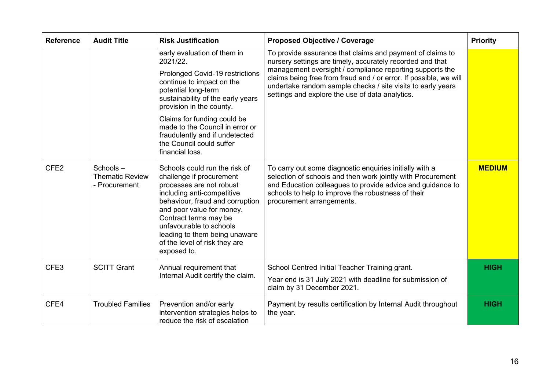| <b>Reference</b> | <b>Audit Title</b>                                  | <b>Risk Justification</b>                                                                                                                                                                                                                                                                                                                          | <b>Proposed Objective / Coverage</b>                                                                                                                                                                                                                                                                                                                                      | <b>Priority</b> |
|------------------|-----------------------------------------------------|----------------------------------------------------------------------------------------------------------------------------------------------------------------------------------------------------------------------------------------------------------------------------------------------------------------------------------------------------|---------------------------------------------------------------------------------------------------------------------------------------------------------------------------------------------------------------------------------------------------------------------------------------------------------------------------------------------------------------------------|-----------------|
|                  |                                                     | early evaluation of them in<br>2021/22.<br>Prolonged Covid-19 restrictions<br>continue to impact on the<br>potential long-term<br>sustainability of the early years<br>provision in the county.<br>Claims for funding could be<br>made to the Council in error or<br>fraudulently and if undetected<br>the Council could suffer<br>financial loss. | To provide assurance that claims and payment of claims to<br>nursery settings are timely, accurately recorded and that<br>management oversight / compliance reporting supports the<br>claims being free from fraud and / or error. If possible, we will<br>undertake random sample checks / site visits to early years<br>settings and explore the use of data analytics. |                 |
| CFE <sub>2</sub> | Schools-<br><b>Thematic Review</b><br>- Procurement | Schools could run the risk of<br>challenge if procurement<br>processes are not robust<br>including anti-competitive<br>behaviour, fraud and corruption<br>and poor value for money.<br>Contract terms may be<br>unfavourable to schools<br>leading to them being unaware<br>of the level of risk they are<br>exposed to.                           | To carry out some diagnostic enquiries initially with a<br>selection of schools and then work jointly with Procurement<br>and Education colleagues to provide advice and guidance to<br>schools to help to improve the robustness of their<br>procurement arrangements.                                                                                                   | <b>MEDIUM</b>   |
| CFE3             | <b>SCITT Grant</b>                                  | Annual requirement that<br>Internal Audit certify the claim.                                                                                                                                                                                                                                                                                       | School Centred Initial Teacher Training grant.<br>Year end is 31 July 2021 with deadline for submission of                                                                                                                                                                                                                                                                | <b>HIGH</b>     |
|                  |                                                     |                                                                                                                                                                                                                                                                                                                                                    | claim by 31 December 2021.                                                                                                                                                                                                                                                                                                                                                |                 |
| CFE4             | <b>Troubled Families</b>                            | Prevention and/or early<br>intervention strategies helps to<br>reduce the risk of escalation                                                                                                                                                                                                                                                       | Payment by results certification by Internal Audit throughout<br>the year.                                                                                                                                                                                                                                                                                                | <b>HIGH</b>     |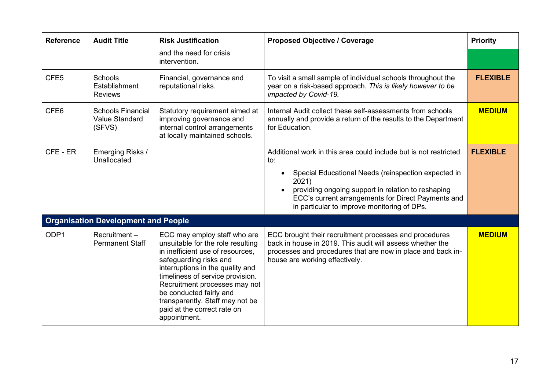| <b>Reference</b> | <b>Audit Title</b>                                          | <b>Risk Justification</b>                                                                                                                                                                                                                                                                                                                             | <b>Proposed Objective / Coverage</b>                                                                                                                                                                                                                                                               | <b>Priority</b> |
|------------------|-------------------------------------------------------------|-------------------------------------------------------------------------------------------------------------------------------------------------------------------------------------------------------------------------------------------------------------------------------------------------------------------------------------------------------|----------------------------------------------------------------------------------------------------------------------------------------------------------------------------------------------------------------------------------------------------------------------------------------------------|-----------------|
|                  |                                                             | and the need for crisis<br>intervention.                                                                                                                                                                                                                                                                                                              |                                                                                                                                                                                                                                                                                                    |                 |
| CFE <sub>5</sub> | Schools<br>Establishment<br><b>Reviews</b>                  | Financial, governance and<br>reputational risks.                                                                                                                                                                                                                                                                                                      | To visit a small sample of individual schools throughout the<br>year on a risk-based approach. This is likely however to be<br>impacted by Covid-19.                                                                                                                                               | <b>FLEXIBLE</b> |
| CFE <sub>6</sub> | <b>Schools Financial</b><br><b>Value Standard</b><br>(SFVS) | Statutory requirement aimed at<br>improving governance and<br>internal control arrangements<br>at locally maintained schools.                                                                                                                                                                                                                         | Internal Audit collect these self-assessments from schools<br>annually and provide a return of the results to the Department<br>for Education.                                                                                                                                                     | <b>MEDIUM</b>   |
| CFE - ER         | Emerging Risks /<br>Unallocated                             |                                                                                                                                                                                                                                                                                                                                                       | Additional work in this area could include but is not restricted<br>to:<br>Special Educational Needs (reinspection expected in<br>2021)<br>providing ongoing support in relation to reshaping<br>ECC's current arrangements for Direct Payments and<br>in particular to improve monitoring of DPs. | <b>FLEXIBLE</b> |
|                  | <b>Organisation Development and People</b>                  |                                                                                                                                                                                                                                                                                                                                                       |                                                                                                                                                                                                                                                                                                    |                 |
| ODP1             | Recruitment-<br><b>Permanent Staff</b>                      | ECC may employ staff who are<br>unsuitable for the role resulting<br>in inefficient use of resources,<br>safeguarding risks and<br>interruptions in the quality and<br>timeliness of service provision.<br>Recruitment processes may not<br>be conducted fairly and<br>transparently. Staff may not be<br>paid at the correct rate on<br>appointment. | ECC brought their recruitment processes and procedures<br>back in house in 2019. This audit will assess whether the<br>processes and procedures that are now in place and back in-<br>house are working effectively.                                                                               | <b>MEDIUM</b>   |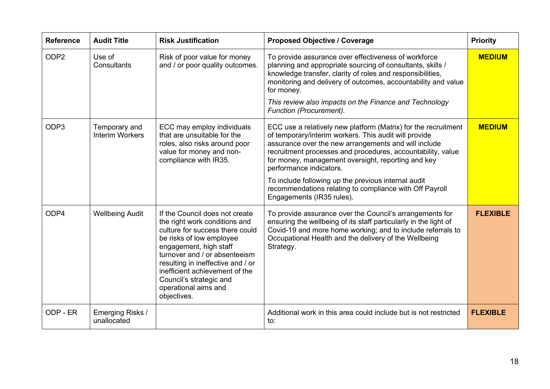| <b>Reference</b> | <b>Audit Title</b>                      | <b>Risk Justification</b>                                                                                                                                                                                                                                                                                                          | <b>Proposed Objective / Coverage</b>                                                                                                                                                                                                                                                                                                                                                                                                                                           | <b>Priority</b> |
|------------------|-----------------------------------------|------------------------------------------------------------------------------------------------------------------------------------------------------------------------------------------------------------------------------------------------------------------------------------------------------------------------------------|--------------------------------------------------------------------------------------------------------------------------------------------------------------------------------------------------------------------------------------------------------------------------------------------------------------------------------------------------------------------------------------------------------------------------------------------------------------------------------|-----------------|
| ODP <sub>2</sub> | Use of<br>Consultants                   | Risk of poor value for money<br>and / or poor quality outcomes.                                                                                                                                                                                                                                                                    | To provide assurance over effectiveness of workforce<br>planning and appropriate sourcing of consultants, skills /<br>knowledge transfer, clarity of roles and responsibilities,<br>monitoring and delivery of outcomes, accountability and value<br>for money.<br>This review also impacts on the Finance and Technology<br>Function (Procurement).                                                                                                                           | <b>MEDIUM</b>   |
| ODP <sub>3</sub> | Temporary and<br><b>Interim Workers</b> | ECC may employ individuals<br>that are unsuitable for the<br>roles, also risks around poor<br>value for money and non-<br>compliance with IR35.                                                                                                                                                                                    | ECC use a relatively new platform (Matrix) for the recruitment<br>of temporary/interim workers. This audit will provide<br>assurance over the new arrangements and will include<br>recruitment processes and procedures, accountability, value<br>for money, management oversight, reporting and key<br>performance indicators.<br>To include following up the previous internal audit<br>recommendations relating to compliance with Off Payroll<br>Engagements (IR35 rules). | <b>MEDIUM</b>   |
| ODP4             | <b>Wellbeing Audit</b>                  | If the Council does not create<br>the right work conditions and<br>culture for success there could<br>be risks of low employee<br>engagement, high staff<br>turnover and / or absenteeism<br>resulting in ineffective and / or<br>inefficient achievement of the<br>Council's strategic and<br>operational aims and<br>objectives. | To provide assurance over the Council's arrangements for<br>ensuring the wellbeing of its staff particularly in the light of<br>Covid-19 and more home working; and to include referrals to<br>Occupational Health and the delivery of the Wellbeing<br>Strategy.                                                                                                                                                                                                              | <b>FLEXIBLE</b> |
| ODP - ER         | Emerging Risks /<br>unallocated         |                                                                                                                                                                                                                                                                                                                                    | Additional work in this area could include but is not restricted<br>to:                                                                                                                                                                                                                                                                                                                                                                                                        | <b>FLEXIBLE</b> |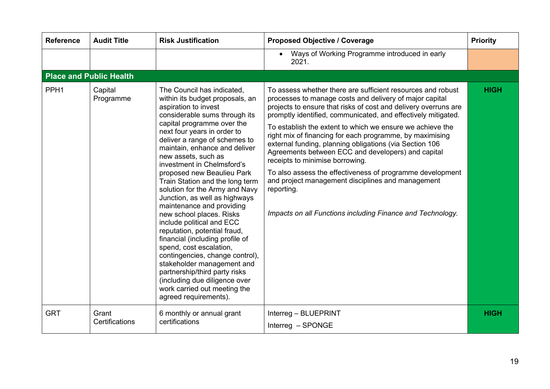| <b>Reference</b>               | <b>Audit Title</b>      | <b>Risk Justification</b>                                                                                                                                                                                                                                                                                                                                                                                                                                                                                                                                                                                                                                                                                                                                                                                                      | <b>Proposed Objective / Coverage</b>                                                                                                                                                                                                                                                                                                                                                                                                                                                                                                                                                                                                                                                                                                  | <b>Priority</b> |
|--------------------------------|-------------------------|--------------------------------------------------------------------------------------------------------------------------------------------------------------------------------------------------------------------------------------------------------------------------------------------------------------------------------------------------------------------------------------------------------------------------------------------------------------------------------------------------------------------------------------------------------------------------------------------------------------------------------------------------------------------------------------------------------------------------------------------------------------------------------------------------------------------------------|---------------------------------------------------------------------------------------------------------------------------------------------------------------------------------------------------------------------------------------------------------------------------------------------------------------------------------------------------------------------------------------------------------------------------------------------------------------------------------------------------------------------------------------------------------------------------------------------------------------------------------------------------------------------------------------------------------------------------------------|-----------------|
|                                |                         |                                                                                                                                                                                                                                                                                                                                                                                                                                                                                                                                                                                                                                                                                                                                                                                                                                | Ways of Working Programme introduced in early<br>$\bullet$<br>2021.                                                                                                                                                                                                                                                                                                                                                                                                                                                                                                                                                                                                                                                                   |                 |
| <b>Place and Public Health</b> |                         |                                                                                                                                                                                                                                                                                                                                                                                                                                                                                                                                                                                                                                                                                                                                                                                                                                |                                                                                                                                                                                                                                                                                                                                                                                                                                                                                                                                                                                                                                                                                                                                       |                 |
| PPH <sub>1</sub>               | Capital<br>Programme    | The Council has indicated,<br>within its budget proposals, an<br>aspiration to invest<br>considerable sums through its<br>capital programme over the<br>next four years in order to<br>deliver a range of schemes to<br>maintain, enhance and deliver<br>new assets, such as<br>investment in Chelmsford's<br>proposed new Beaulieu Park<br>Train Station and the long term<br>solution for the Army and Navy<br>Junction, as well as highways<br>maintenance and providing<br>new school places. Risks<br>include political and ECC<br>reputation, potential fraud,<br>financial (including profile of<br>spend, cost escalation,<br>contingencies, change control),<br>stakeholder management and<br>partnership/third party risks<br>(including due diligence over<br>work carried out meeting the<br>agreed requirements). | To assess whether there are sufficient resources and robust<br>processes to manage costs and delivery of major capital<br>projects to ensure that risks of cost and delivery overruns are<br>promptly identified, communicated, and effectively mitigated.<br>To establish the extent to which we ensure we achieve the<br>right mix of financing for each programme, by maximising<br>external funding, planning obligations (via Section 106<br>Agreements between ECC and developers) and capital<br>receipts to minimise borrowing.<br>To also assess the effectiveness of programme development<br>and project management disciplines and management<br>reporting.<br>Impacts on all Functions including Finance and Technology. | <b>HIGH</b>     |
| <b>GRT</b>                     | Grant<br>Certifications | 6 monthly or annual grant<br>certifications                                                                                                                                                                                                                                                                                                                                                                                                                                                                                                                                                                                                                                                                                                                                                                                    | Interreg - BLUEPRINT<br>Interreg - SPONGE                                                                                                                                                                                                                                                                                                                                                                                                                                                                                                                                                                                                                                                                                             | <b>HIGH</b>     |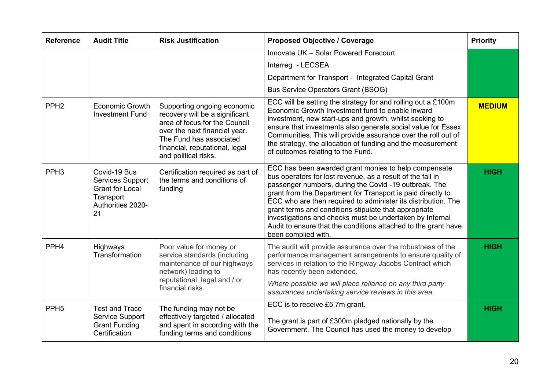| <b>Reference</b> | <b>Audit Title</b>                                                                                        | <b>Risk Justification</b>                                                                                                                                                                                            | <b>Proposed Objective / Coverage</b>                                                                                                                                                                                                                                                                                                                                                                                                                                                                                      | <b>Priority</b> |
|------------------|-----------------------------------------------------------------------------------------------------------|----------------------------------------------------------------------------------------------------------------------------------------------------------------------------------------------------------------------|---------------------------------------------------------------------------------------------------------------------------------------------------------------------------------------------------------------------------------------------------------------------------------------------------------------------------------------------------------------------------------------------------------------------------------------------------------------------------------------------------------------------------|-----------------|
|                  |                                                                                                           |                                                                                                                                                                                                                      | Innovate UK - Solar Powered Forecourt                                                                                                                                                                                                                                                                                                                                                                                                                                                                                     |                 |
|                  |                                                                                                           |                                                                                                                                                                                                                      | Interreg - LECSEA                                                                                                                                                                                                                                                                                                                                                                                                                                                                                                         |                 |
|                  |                                                                                                           |                                                                                                                                                                                                                      | Department for Transport - Integrated Capital Grant                                                                                                                                                                                                                                                                                                                                                                                                                                                                       |                 |
|                  |                                                                                                           |                                                                                                                                                                                                                      | <b>Bus Service Operators Grant (BSOG)</b>                                                                                                                                                                                                                                                                                                                                                                                                                                                                                 |                 |
| PPH <sub>2</sub> | <b>Economic Growth</b><br><b>Investment Fund</b>                                                          | Supporting ongoing economic<br>recovery will be a significant<br>area of focus for the Council<br>over the next financial year.<br>The Fund has associated<br>financial, reputational, legal<br>and political risks. | ECC will be setting the strategy for and rolling out a £100m<br>Economic Growth Investment fund to enable inward<br>investment, new start-ups and growth, whilst seeking to<br>ensure that investments also generate social value for Essex<br>Communities. This will provide assurance over the roll out of<br>the strategy, the allocation of funding and the measurement<br>of outcomes relating to the Fund.                                                                                                          | <b>MEDIUM</b>   |
| PPH <sub>3</sub> | Covid-19 Bus<br><b>Services Support</b><br><b>Grant for Local</b><br>Transport<br>Authorities 2020-<br>21 | Certification required as part of<br>the terms and conditions of<br>funding                                                                                                                                          | ECC has been awarded grant monies to help compensate<br>bus operators for lost revenue, as a result of the fall in<br>passenger numbers, during the Covid -19 outbreak. The<br>grant from the Department for Transport is paid directly to<br>ECC who are then required to administer its distribution. The<br>grant terms and conditions stipulate that appropriate<br>investigations and checks must be undertaken by Internal<br>Audit to ensure that the conditions attached to the grant have<br>been complied with. | <b>HIGH</b>     |
| PPH <sub>4</sub> | Highways<br>Transformation                                                                                | Poor value for money or<br>service standards (including<br>maintenance of our highways<br>network) leading to<br>reputational, legal and / or<br>financial risks.                                                    | The audit will provide assurance over the robustness of the<br>performance management arrangements to ensure quality of<br>services in relation to the Ringway Jacobs Contract which<br>has recently been extended.<br>Where possible we will place reliance on any third party                                                                                                                                                                                                                                           | <b>HIGH</b>     |
|                  |                                                                                                           |                                                                                                                                                                                                                      | assurances undertaking service reviews in this area.                                                                                                                                                                                                                                                                                                                                                                                                                                                                      |                 |
| PPH <sub>5</sub> | <b>Test and Trace</b>                                                                                     | The funding may not be                                                                                                                                                                                               | ECC is to receive £5.7m grant.                                                                                                                                                                                                                                                                                                                                                                                                                                                                                            | <b>HIGH</b>     |
|                  | <b>Service Support</b><br><b>Grant Funding</b><br>Certification                                           | effectively targeted / allocated<br>and spent in according with the<br>funding terms and conditions                                                                                                                  | The grant is part of £300m pledged nationally by the<br>Government. The Council has used the money to develop                                                                                                                                                                                                                                                                                                                                                                                                             |                 |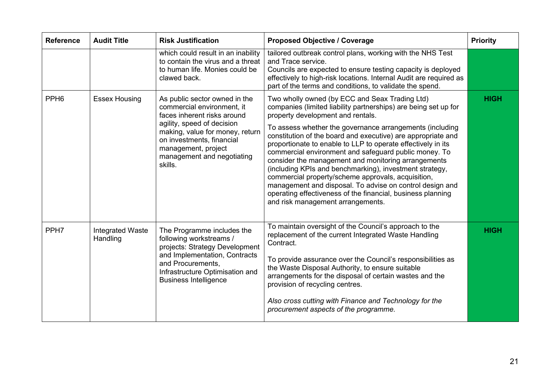| <b>Reference</b> | <b>Audit Title</b>                  | <b>Risk Justification</b>                                                                                                                                                                                                                                | <b>Proposed Objective / Coverage</b>                                                                                                                                                                                                                                                                                                                                                                                                                                                                                                                                                                                                                                                                                                                | <b>Priority</b> |
|------------------|-------------------------------------|----------------------------------------------------------------------------------------------------------------------------------------------------------------------------------------------------------------------------------------------------------|-----------------------------------------------------------------------------------------------------------------------------------------------------------------------------------------------------------------------------------------------------------------------------------------------------------------------------------------------------------------------------------------------------------------------------------------------------------------------------------------------------------------------------------------------------------------------------------------------------------------------------------------------------------------------------------------------------------------------------------------------------|-----------------|
|                  |                                     | which could result in an inability<br>to contain the virus and a threat<br>to human life. Monies could be<br>clawed back.                                                                                                                                | tailored outbreak control plans, working with the NHS Test<br>and Trace service.<br>Councils are expected to ensure testing capacity is deployed<br>effectively to high-risk locations. Internal Audit are required as<br>part of the terms and conditions, to validate the spend.                                                                                                                                                                                                                                                                                                                                                                                                                                                                  |                 |
| PPH <sub>6</sub> | <b>Essex Housing</b>                | As public sector owned in the<br>commercial environment, it<br>faces inherent risks around<br>agility, speed of decision<br>making, value for money, return<br>on investments, financial<br>management, project<br>management and negotiating<br>skills. | Two wholly owned (by ECC and Seax Trading Ltd)<br>companies (limited liability partnerships) are being set up for<br>property development and rentals.<br>To assess whether the governance arrangements (including<br>constitution of the board and executive) are appropriate and<br>proportionate to enable to LLP to operate effectively in its<br>commercial environment and safeguard public money. To<br>consider the management and monitoring arrangements<br>(including KPIs and benchmarking), investment strategy,<br>commercial property/scheme approvals, acquisition,<br>management and disposal. To advise on control design and<br>operating effectiveness of the financial, business planning<br>and risk management arrangements. | <b>HIGH</b>     |
| PPH <sub>7</sub> | <b>Integrated Waste</b><br>Handling | The Programme includes the<br>following workstreams /<br>projects: Strategy Development<br>and Implementation, Contracts<br>and Procurements,<br>Infrastructure Optimisation and<br><b>Business Intelligence</b>                                         | To maintain oversight of the Council's approach to the<br>replacement of the current Integrated Waste Handling<br>Contract.<br>To provide assurance over the Council's responsibilities as<br>the Waste Disposal Authority, to ensure suitable<br>arrangements for the disposal of certain wastes and the<br>provision of recycling centres.<br>Also cross cutting with Finance and Technology for the<br>procurement aspects of the programme.                                                                                                                                                                                                                                                                                                     | <b>HIGH</b>     |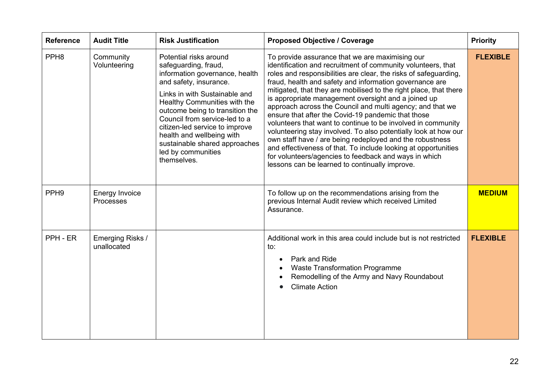| <b>Reference</b> | <b>Audit Title</b>                        | <b>Risk Justification</b>                                                                                                                                                                                                                                                                                                                                                            | <b>Proposed Objective / Coverage</b>                                                                                                                                                                                                                                                                                                                                                                                                                                                                                                                                                                                                                                                                                                                                                                                                                                      | <b>Priority</b> |
|------------------|-------------------------------------------|--------------------------------------------------------------------------------------------------------------------------------------------------------------------------------------------------------------------------------------------------------------------------------------------------------------------------------------------------------------------------------------|---------------------------------------------------------------------------------------------------------------------------------------------------------------------------------------------------------------------------------------------------------------------------------------------------------------------------------------------------------------------------------------------------------------------------------------------------------------------------------------------------------------------------------------------------------------------------------------------------------------------------------------------------------------------------------------------------------------------------------------------------------------------------------------------------------------------------------------------------------------------------|-----------------|
| PPH <sub>8</sub> | Community<br>Volunteering                 | Potential risks around<br>safeguarding, fraud,<br>information governance, health<br>and safety, insurance.<br>Links in with Sustainable and<br>Healthy Communities with the<br>outcome being to transition the<br>Council from service-led to a<br>citizen-led service to improve<br>health and wellbeing with<br>sustainable shared approaches<br>led by communities<br>themselves. | To provide assurance that we are maximising our<br>identification and recruitment of community volunteers, that<br>roles and responsibilities are clear, the risks of safeguarding,<br>fraud, health and safety and information governance are<br>mitigated, that they are mobilised to the right place, that there<br>is appropriate management oversight and a joined up<br>approach across the Council and multi agency; and that we<br>ensure that after the Covid-19 pandemic that those<br>volunteers that want to continue to be involved in community<br>volunteering stay involved. To also potentially look at how our<br>own staff have / are being redeployed and the robustness<br>and effectiveness of that. To include looking at opportunities<br>for volunteers/agencies to feedback and ways in which<br>lessons can be learned to continually improve. | <b>FLEXIBLE</b> |
| PPH <sub>9</sub> | <b>Energy Invoice</b><br><b>Processes</b> |                                                                                                                                                                                                                                                                                                                                                                                      | To follow up on the recommendations arising from the<br>previous Internal Audit review which received Limited<br>Assurance.                                                                                                                                                                                                                                                                                                                                                                                                                                                                                                                                                                                                                                                                                                                                               | <b>MEDIUM</b>   |
| PPH - ER         | Emerging Risks /<br>unallocated           |                                                                                                                                                                                                                                                                                                                                                                                      | Additional work in this area could include but is not restricted<br>to:<br>Park and Ride<br>$\bullet$<br><b>Waste Transformation Programme</b><br>$\bullet$<br>Remodelling of the Army and Navy Roundabout<br><b>Climate Action</b>                                                                                                                                                                                                                                                                                                                                                                                                                                                                                                                                                                                                                                       | <b>FLEXIBLE</b> |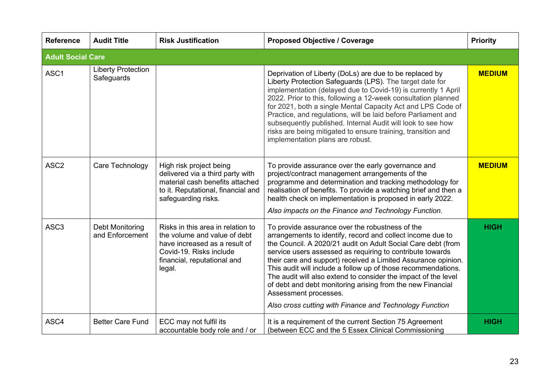| <b>Reference</b>         | <b>Audit Title</b>                      | <b>Risk Justification</b>                                                                                                                                              | <b>Proposed Objective / Coverage</b>                                                                                                                                                                                                                                                                                                                                                                                                                                                                                                                                                             | <b>Priority</b> |
|--------------------------|-----------------------------------------|------------------------------------------------------------------------------------------------------------------------------------------------------------------------|--------------------------------------------------------------------------------------------------------------------------------------------------------------------------------------------------------------------------------------------------------------------------------------------------------------------------------------------------------------------------------------------------------------------------------------------------------------------------------------------------------------------------------------------------------------------------------------------------|-----------------|
| <b>Adult Social Care</b> |                                         |                                                                                                                                                                        |                                                                                                                                                                                                                                                                                                                                                                                                                                                                                                                                                                                                  |                 |
| ASC1                     | <b>Liberty Protection</b><br>Safeguards |                                                                                                                                                                        | Deprivation of Liberty (DoLs) are due to be replaced by<br>Liberty Protection Safeguards (LPS). The target date for<br>implementation (delayed due to Covid-19) is currently 1 April<br>2022. Prior to this, following a 12-week consultation planned<br>for 2021, both a single Mental Capacity Act and LPS Code of<br>Practice, and regulations, will be laid before Parliament and<br>subsequently published. Internal Audit will look to see how<br>risks are being mitigated to ensure training, transition and<br>implementation plans are robust.                                         | <b>MEDIUM</b>   |
| ASC <sub>2</sub>         | Care Technology                         | High risk project being<br>delivered via a third party with<br>material cash benefits attached<br>to it. Reputational, financial and<br>safeguarding risks.            | To provide assurance over the early governance and<br>project/contract management arrangements of the<br>programme and determination and tracking methodology for<br>realisation of benefits. To provide a watching brief and then a<br>health check on implementation is proposed in early 2022.<br>Also impacts on the Finance and Technology Function.                                                                                                                                                                                                                                        | <b>MEDIUM</b>   |
| ASC <sub>3</sub>         | Debt Monitoring<br>and Enforcement      | Risks in this area in relation to<br>the volume and value of debt<br>have increased as a result of<br>Covid-19. Risks include<br>financial, reputational and<br>legal. | To provide assurance over the robustness of the<br>arrangements to identify, record and collect income due to<br>the Council. A 2020/21 audit on Adult Social Care debt (from<br>service users assessed as requiring to contribute towards<br>their care and support) received a Limited Assurance opinion.<br>This audit will include a follow up of those recommendations.<br>The audit will also extend to consider the impact of the level<br>of debt and debt monitoring arising from the new Financial<br>Assessment processes.<br>Also cross cutting with Finance and Technology Function | <b>HIGH</b>     |
| ASC4                     | <b>Better Care Fund</b>                 | ECC may not fulfil its<br>accountable body role and / or                                                                                                               | It is a requirement of the current Section 75 Agreement<br>(between ECC and the 5 Essex Clinical Commissioning                                                                                                                                                                                                                                                                                                                                                                                                                                                                                   | <b>HIGH</b>     |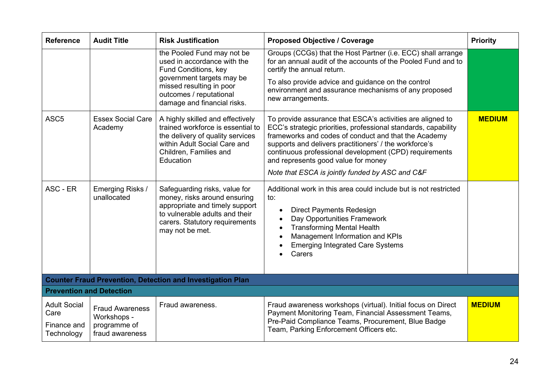| <b>Reference</b>                                                  | <b>Audit Title</b>                                                       | <b>Risk Justification</b>                                                                                                                                                                            | <b>Proposed Objective / Coverage</b>                                                                                                                                                                                                                                                                                                                                                               | <b>Priority</b> |
|-------------------------------------------------------------------|--------------------------------------------------------------------------|------------------------------------------------------------------------------------------------------------------------------------------------------------------------------------------------------|----------------------------------------------------------------------------------------------------------------------------------------------------------------------------------------------------------------------------------------------------------------------------------------------------------------------------------------------------------------------------------------------------|-----------------|
|                                                                   |                                                                          | the Pooled Fund may not be<br>used in accordance with the<br>Fund Conditions, key<br>government targets may be<br>missed resulting in poor<br>outcomes / reputational<br>damage and financial risks. | Groups (CCGs) that the Host Partner (i.e. ECC) shall arrange<br>for an annual audit of the accounts of the Pooled Fund and to<br>certify the annual return.<br>To also provide advice and guidance on the control<br>environment and assurance mechanisms of any proposed<br>new arrangements.                                                                                                     |                 |
| ASC <sub>5</sub>                                                  | <b>Essex Social Care</b><br>Academy                                      | A highly skilled and effectively<br>trained workforce is essential to<br>the delivery of quality services<br>within Adult Social Care and<br>Children, Families and<br>Education                     | To provide assurance that ESCA's activities are aligned to<br>ECC's strategic priorities, professional standards, capability<br>frameworks and codes of conduct and that the Academy<br>supports and delivers practitioners' / the workforce's<br>continuous professional development (CPD) requirements<br>and represents good value for money<br>Note that ESCA is jointly funded by ASC and C&F | <b>MEDIUM</b>   |
| ASC - ER                                                          | Emerging Risks /<br>unallocated                                          | Safeguarding risks, value for<br>money, risks around ensuring<br>appropriate and timely support<br>to vulnerable adults and their<br>carers. Statutory requirements<br>may not be met.               | Additional work in this area could include but is not restricted<br>to:<br><b>Direct Payments Redesign</b><br>$\bullet$<br>Day Opportunities Framework<br>$\bullet$<br><b>Transforming Mental Health</b><br>$\bullet$<br>Management Information and KPIs<br>$\bullet$<br><b>Emerging Integrated Care Systems</b><br>Carers                                                                         |                 |
| <b>Counter Fraud Prevention, Detection and Investigation Plan</b> |                                                                          |                                                                                                                                                                                                      |                                                                                                                                                                                                                                                                                                                                                                                                    |                 |
| <b>Prevention and Detection</b>                                   |                                                                          |                                                                                                                                                                                                      |                                                                                                                                                                                                                                                                                                                                                                                                    |                 |
| <b>Adult Social</b><br>Care<br>Finance and<br>Technology          | <b>Fraud Awareness</b><br>Workshops -<br>programme of<br>fraud awareness | Fraud awareness.                                                                                                                                                                                     | Fraud awareness workshops (virtual). Initial focus on Direct<br>Payment Monitoring Team, Financial Assessment Teams,<br>Pre-Paid Compliance Teams, Procurement, Blue Badge<br>Team, Parking Enforcement Officers etc.                                                                                                                                                                              | <b>MEDIUM</b>   |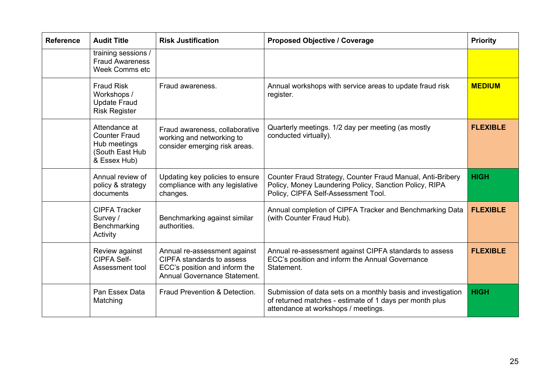| <b>Reference</b> | <b>Audit Title</b>                                                                       | <b>Risk Justification</b>                                                                                                                | <b>Proposed Objective / Coverage</b>                                                                                                                           | <b>Priority</b> |
|------------------|------------------------------------------------------------------------------------------|------------------------------------------------------------------------------------------------------------------------------------------|----------------------------------------------------------------------------------------------------------------------------------------------------------------|-----------------|
|                  | training sessions /<br><b>Fraud Awareness</b><br>Week Comms etc                          |                                                                                                                                          |                                                                                                                                                                |                 |
|                  | <b>Fraud Risk</b><br>Workshops /<br><b>Update Fraud</b><br><b>Risk Register</b>          | Fraud awareness.                                                                                                                         | Annual workshops with service areas to update fraud risk<br>register.                                                                                          | <b>MEDIUM</b>   |
|                  | Attendance at<br><b>Counter Fraud</b><br>Hub meetings<br>(South East Hub<br>& Essex Hub) | Fraud awareness, collaborative<br>working and networking to<br>consider emerging risk areas.                                             | Quarterly meetings. 1/2 day per meeting (as mostly<br>conducted virtually).                                                                                    | <b>FLEXIBLE</b> |
|                  | Annual review of<br>policy & strategy<br>documents                                       | Updating key policies to ensure<br>compliance with any legislative<br>changes.                                                           | Counter Fraud Strategy, Counter Fraud Manual, Anti-Bribery<br>Policy, Money Laundering Policy, Sanction Policy, RIPA<br>Policy, CIPFA Self-Assessment Tool.    | <b>HIGH</b>     |
|                  | <b>CIPFA Tracker</b><br>Survey /<br>Benchmarking<br>Activity                             | Benchmarking against similar<br>authorities.                                                                                             | Annual completion of CIPFA Tracker and Benchmarking Data<br>(with Counter Fraud Hub).                                                                          | <b>FLEXIBLE</b> |
|                  | Review against<br><b>CIPFA Self-</b><br>Assessment tool                                  | Annual re-assessment against<br><b>CIPFA standards to assess</b><br>ECC's position and inform the<br><b>Annual Governance Statement.</b> | Annual re-assessment against CIPFA standards to assess<br>ECC's position and inform the Annual Governance<br>Statement.                                        | <b>FLEXIBLE</b> |
|                  | Pan Essex Data<br>Matching                                                               | Fraud Prevention & Detection.                                                                                                            | Submission of data sets on a monthly basis and investigation<br>of returned matches - estimate of 1 days per month plus<br>attendance at workshops / meetings. | <b>HIGH</b>     |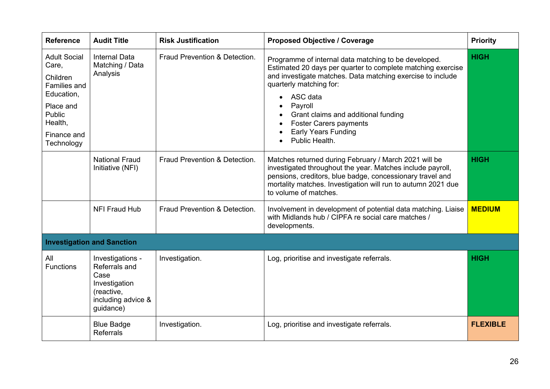| <b>Reference</b>                                                                                                                             | <b>Audit Title</b>                                                                                          | <b>Risk Justification</b>     | <b>Proposed Objective / Coverage</b>                                                                                                                                                                                                                                                                                                                        | <b>Priority</b> |
|----------------------------------------------------------------------------------------------------------------------------------------------|-------------------------------------------------------------------------------------------------------------|-------------------------------|-------------------------------------------------------------------------------------------------------------------------------------------------------------------------------------------------------------------------------------------------------------------------------------------------------------------------------------------------------------|-----------------|
| <b>Adult Social</b><br>Care,<br>Children<br><b>Families and</b><br>Education,<br>Place and<br>Public<br>Health,<br>Finance and<br>Technology | <b>Internal Data</b><br>Matching / Data<br>Analysis                                                         | Fraud Prevention & Detection. | Programme of internal data matching to be developed.<br>Estimated 20 days per quarter to complete matching exercise<br>and investigate matches. Data matching exercise to include<br>quarterly matching for:<br>ASC data<br>Payroll<br>Grant claims and additional funding<br><b>Foster Carers payments</b><br><b>Early Years Funding</b><br>Public Health. | <b>HIGH</b>     |
|                                                                                                                                              | <b>National Fraud</b><br>Initiative (NFI)                                                                   | Fraud Prevention & Detection. | Matches returned during February / March 2021 will be<br>investigated throughout the year. Matches include payroll,<br>pensions, creditors, blue badge, concessionary travel and<br>mortality matches. Investigation will run to autumn 2021 due<br>to volume of matches.                                                                                   | <b>HIGH</b>     |
|                                                                                                                                              | <b>NFI Fraud Hub</b>                                                                                        | Fraud Prevention & Detection. | Involvement in development of potential data matching. Liaise<br>with Midlands hub / CIPFA re social care matches /<br>developments.                                                                                                                                                                                                                        | <b>MEDIUM</b>   |
|                                                                                                                                              | <b>Investigation and Sanction</b>                                                                           |                               |                                                                                                                                                                                                                                                                                                                                                             |                 |
| All<br><b>Functions</b>                                                                                                                      | Investigations -<br>Referrals and<br>Case<br>Investigation<br>(reactive,<br>including advice &<br>guidance) | Investigation.                | Log, prioritise and investigate referrals.                                                                                                                                                                                                                                                                                                                  | <b>HIGH</b>     |
|                                                                                                                                              | <b>Blue Badge</b><br><b>Referrals</b>                                                                       | Investigation.                | Log, prioritise and investigate referrals.                                                                                                                                                                                                                                                                                                                  | <b>FLEXIBLE</b> |